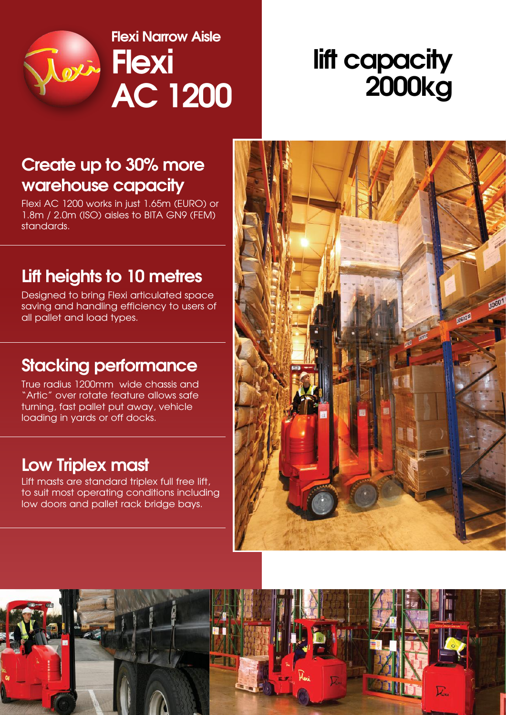

**AC 1200 Flexi Narrow Aisle**

# **lift capacity 2000kg**

### **Create up to 30% more warehouse capacity**

Flexi AC 1200 works in just 1.65m (EURO) or 1.8m / 2.0m (ISO) aisles to BITA GN9 (FEM) standards.

### **Lift heights to 10 metres**

Designed to bring Flexi articulated space saving and handling efficiency to users of all pallet and load types.

### **Stacking performance**

True radius 1200mm wide chassis and "Artic" over rotate feature allows safe turning, fast pallet put away, vehicle loading in yards or off docks.

### **Low Triplex mast**

Lift masts are standard triplex full free lift, to suit most operating conditions including low doors and pallet rack bridge bays.